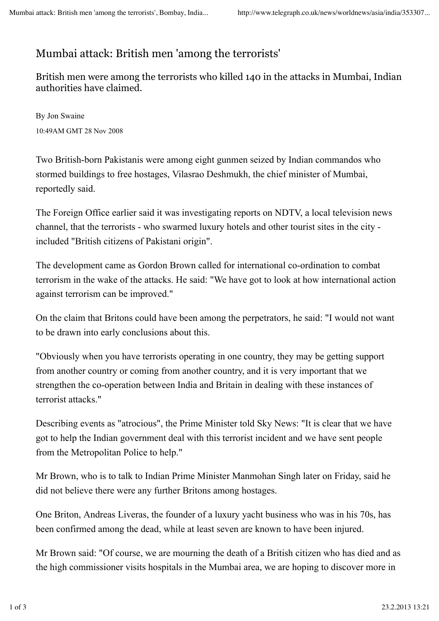## Mumbai attack: British men 'among the terrorists'

British men were among the terrorists who killed 140 in the attacks in Mumbai, Indian authorities have claimed.

By Jon Swaine 10:49AM GMT 28 Nov 2008

Two British-born Pakistanis were among eight gunmen seized by Indian commandos who stormed buildings to free hostages, Vilasrao Deshmukh, the chief minister of Mumbai, reportedly said.

The Foreign Office earlier said it was investigating reports on NDTV, a local television news channel, that the terrorists - who swarmed luxury hotels and other tourist sites in the city included "British citizens of Pakistani origin".

The development came as Gordon Brown called for international co-ordination to combat terrorism in the wake of the attacks. He said: "We have got to look at how international action against terrorism can be improved."

On the claim that Britons could have been among the perpetrators, he said: "I would not want to be drawn into early conclusions about this.

"Obviously when you have terrorists operating in one country, they may be getting support from another country or coming from another country, and it is very important that we strengthen the co-operation between India and Britain in dealing with these instances of terrorist attacks."

Describing events as "atrocious", the Prime Minister told Sky News: "It is clear that we have got to help the Indian government deal with this terrorist incident and we have sent people from the Metropolitan Police to help."

Mr Brown, who is to talk to Indian Prime Minister Manmohan Singh later on Friday, said he did not believe there were any further Britons among hostages.

One Briton, Andreas Liveras, the founder of a luxury yacht business who was in his 70s, has been confirmed among the dead, while at least seven are known to have been injured.

Mr Brown said: "Of course, we are mourning the death of a British citizen who has died and as the high commissioner visits hospitals in the Mumbai area, we are hoping to discover more in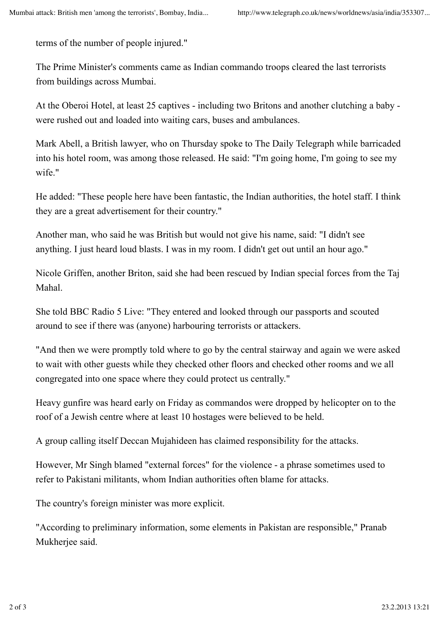terms of the number of people injured."

The Prime Minister's comments came as Indian commando troops cleared the last terrorists from buildings across Mumbai.

At the Oberoi Hotel, at least 25 captives - including two Britons and another clutching a baby were rushed out and loaded into waiting cars, buses and ambulances.

Mark Abell, a British lawyer, who on Thursday spoke to The Daily Telegraph while barricaded into his hotel room, was among those released. He said: "I'm going home, I'm going to see my wife."

He added: "These people here have been fantastic, the Indian authorities, the hotel staff. I think they are a great advertisement for their country."

Another man, who said he was British but would not give his name, said: "I didn't see anything. I just heard loud blasts. I was in my room. I didn't get out until an hour ago."

Nicole Griffen, another Briton, said she had been rescued by Indian special forces from the Taj Mahal.

She told BBC Radio 5 Live: "They entered and looked through our passports and scouted around to see if there was (anyone) harbouring terrorists or attackers.

"And then we were promptly told where to go by the central stairway and again we were asked to wait with other guests while they checked other floors and checked other rooms and we all congregated into one space where they could protect us centrally."

Heavy gunfire was heard early on Friday as commandos were dropped by helicopter on to the roof of a Jewish centre where at least 10 hostages were believed to be held.

A group calling itself Deccan Mujahideen has claimed responsibility for the attacks.

However, Mr Singh blamed "external forces" for the violence - a phrase sometimes used to refer to Pakistani militants, whom Indian authorities often blame for attacks.

The country's foreign minister was more explicit.

"According to preliminary information, some elements in Pakistan are responsible," Pranab Mukherjee said.